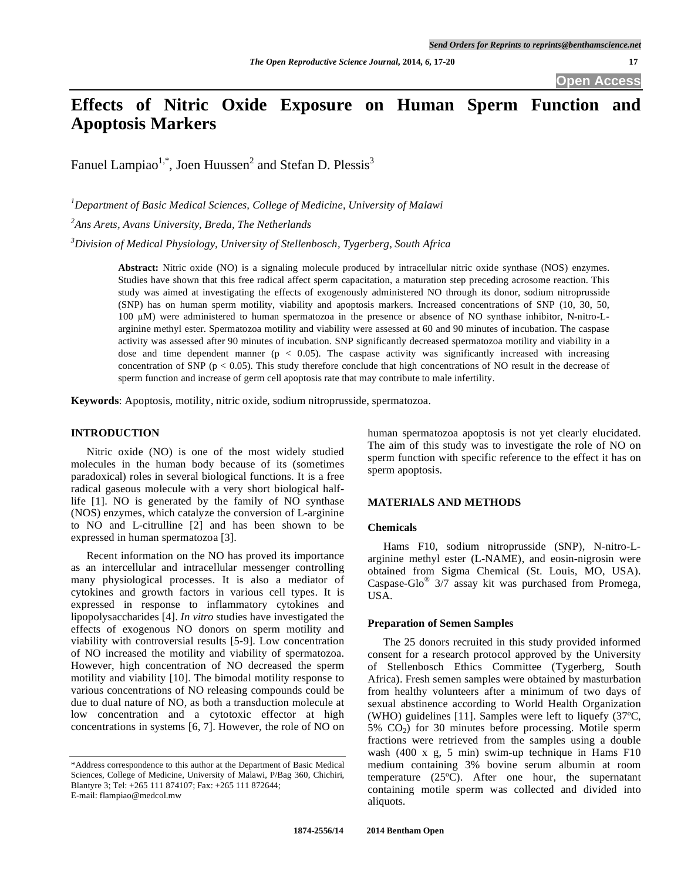# **Effects of Nitric Oxide Exposure on Human Sperm Function and Apoptosis Markers**

Fanuel Lampiao<sup>1,\*</sup>, Joen Huussen<sup>2</sup> and Stefan D. Plessis<sup>3</sup>

*1 Department of Basic Medical Sciences, College of Medicine, University of Malawi* 

*2 Ans Arets, Avans University, Breda, The Netherlands* 

*3 Division of Medical Physiology, University of Stellenbosch, Tygerberg, South Africa* 

**Abstract:** Nitric oxide (NO) is a signaling molecule produced by intracellular nitric oxide synthase (NOS) enzymes. Studies have shown that this free radical affect sperm capacitation, a maturation step preceding acrosome reaction. This study was aimed at investigating the effects of exogenously administered NO through its donor, sodium nitroprusside (SNP) has on human sperm motility, viability and apoptosis markers. Increased concentrations of SNP (10, 30, 50, 100 M) were administered to human spermatozoa in the presence or absence of NO synthase inhibitor, N-nitro-Larginine methyl ester. Spermatozoa motility and viability were assessed at 60 and 90 minutes of incubation. The caspase activity was assessed after 90 minutes of incubation. SNP significantly decreased spermatozoa motility and viability in a dose and time dependent manner ( $p < 0.05$ ). The caspase activity was significantly increased with increasing concentration of SNP ( $p < 0.05$ ). This study therefore conclude that high concentrations of NO result in the decrease of sperm function and increase of germ cell apoptosis rate that may contribute to male infertility.

**Keywords**: Apoptosis, motility, nitric oxide, sodium nitroprusside, spermatozoa.

# **INTRODUCTION**

Nitric oxide (NO) is one of the most widely studied molecules in the human body because of its (sometimes paradoxical) roles in several biological functions. It is a free radical gaseous molecule with a very short biological halflife [1]. NO is generated by the family of NO synthase (NOS) enzymes, which catalyze the conversion of L-arginine to NO and L-citrulline [2] and has been shown to be expressed in human spermatozoa [3].

Recent information on the NO has proved its importance as an intercellular and intracellular messenger controlling many physiological processes. It is also a mediator of cytokines and growth factors in various cell types. It is expressed in response to inflammatory cytokines and lipopolysaccharides [4]. *In vitro* studies have investigated the effects of exogenous NO donors on sperm motility and viability with controversial results [5-9]. Low concentration of NO increased the motility and viability of spermatozoa. However, high concentration of NO decreased the sperm motility and viability [10]. The bimodal motility response to various concentrations of NO releasing compounds could be due to dual nature of NO, as both a transduction molecule at low concentration and a cytotoxic effector at high concentrations in systems [6, 7]. However, the role of NO on

human spermatozoa apoptosis is not yet clearly elucidated. The aim of this study was to investigate the role of NO on sperm function with specific reference to the effect it has on sperm apoptosis.

## **MATERIALS AND METHODS**

## **Chemicals**

Hams F10, sodium nitroprusside (SNP), N-nitro-Larginine methyl ester (L-NAME), and eosin-nigrosin were obtained from Sigma Chemical (St. Louis, MO, USA). Caspase-Glo® 3/7 assay kit was purchased from Promega, USA.

## **Preparation of Semen Samples**

The 25 donors recruited in this study provided informed consent for a research protocol approved by the University of Stellenbosch Ethics Committee (Tygerberg, South Africa). Fresh semen samples were obtained by masturbation from healthy volunteers after a minimum of two days of sexual abstinence according to World Health Organization (WHO) guidelines [11]. Samples were left to liquefy (37ºC,  $5\%$   $CO<sub>2</sub>$ ) for 30 minutes before processing. Motile sperm fractions were retrieved from the samples using a double wash (400 x g, 5 min) swim-up technique in Hams F10 medium containing 3% bovine serum albumin at room temperature (25ºC). After one hour, the supernatant containing motile sperm was collected and divided into aliquots.

<sup>\*</sup>Address correspondence to this author at the Department of Basic Medical Sciences, College of Medicine, University of Malawi, P/Bag 360, Chichiri, Blantyre 3; Tel: +265 111 874107; Fax: +265 111 872644; E-mail: flampiao@medcol.mw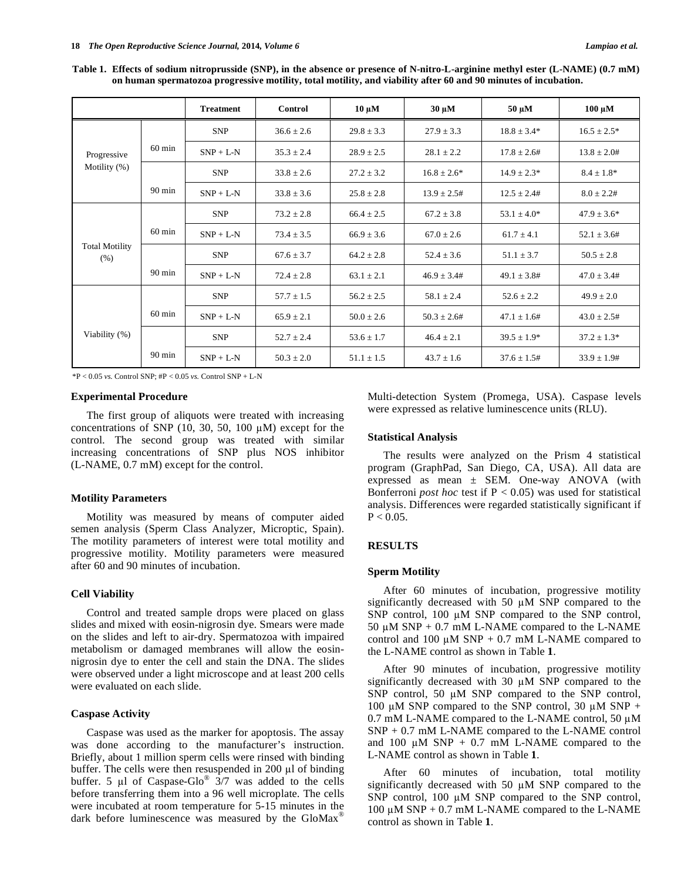**Table 1. Effects of sodium nitroprusside (SNP), in the absence or presence of N-nitro-L-arginine methyl ester (L-NAME) (0.7 mM) on human spermatozoa progressive motility, total motility, and viability after 60 and 90 minutes of incubation.** 

|                               |                  | <b>Treatment</b> | Control        | $10 \mu M$     | $30 \mu M$        | $50 \mu M$        | $100 \mu M$       |
|-------------------------------|------------------|------------------|----------------|----------------|-------------------|-------------------|-------------------|
| Progressive<br>Motility (%)   |                  | <b>SNP</b>       | $36.6 \pm 2.6$ | $29.8 \pm 3.3$ | $27.9 \pm 3.3$    | $18.8 \pm 3.4*$   | $16.5 \pm 2.5^*$  |
|                               | $60 \text{ min}$ | $SNP + L-N$      | $35.3 \pm 2.4$ | $28.9 \pm 2.5$ | $28.1 \pm 2.2$    | $17.8 \pm 2.6 \#$ | $13.8 \pm 2.04$   |
|                               |                  | <b>SNP</b>       | $33.8 \pm 2.6$ | $27.2 \pm 3.2$ | $16.8 \pm 2.6^*$  | $14.9 \pm 2.3*$   | $8.4 \pm 1.8*$    |
|                               | $90 \text{ min}$ | $SNP + L-N$      | $33.8 \pm 3.6$ | $25.8 \pm 2.8$ | $13.9 \pm 2.5$ #  | $12.5 \pm 2.4$ #  | $8.0 \pm 2.2$ #   |
| <b>Total Motility</b><br>(% ) |                  | <b>SNP</b>       | $73.2 \pm 2.8$ | $66.4 \pm 2.5$ | $67.2 \pm 3.8$    | $53.1 \pm 4.0^*$  | $47.9 \pm 3.6^*$  |
|                               | $60 \text{ min}$ | $SNP + L-N$      | $73.4 \pm 3.5$ | $66.9 \pm 3.6$ | $67.0 \pm 2.6$    | $61.7 \pm 4.1$    | $52.1 \pm 3.6 \#$ |
|                               |                  | <b>SNP</b>       | $67.6 \pm 3.7$ | $64.2 \pm 2.8$ | $52.4 \pm 3.6$    | $51.1 \pm 3.7$    | $50.5 \pm 2.8$    |
|                               | 90 min           | $SNP + L-N$      | $72.4 \pm 2.8$ | $63.1 \pm 2.1$ | $46.9 \pm 3.4$ #  | $49.1 \pm 3.8$ #  | $47.0 \pm 3.4$ #  |
| Viability (%)                 | $60 \text{ min}$ | <b>SNP</b>       | $57.7 \pm 1.5$ | $56.2 \pm 2.5$ | $58.1 \pm 2.4$    | $52.6 \pm 2.2$    | $49.9 \pm 2.0$    |
|                               |                  | $SNP + L-N$      | $65.9 \pm 2.1$ | $50.0 \pm 2.6$ | $50.3 \pm 2.6 \#$ | $47.1 \pm 1.6#$   | $43.0 \pm 2.5$ #  |
|                               |                  | <b>SNP</b>       | $52.7 \pm 2.4$ | $53.6 \pm 1.7$ | $46.4 \pm 2.1$    | $39.5 \pm 1.9*$   | $37.2 \pm 1.3*$   |
|                               | 90 min           | $SNP + L-N$      | $50.3 \pm 2.0$ | $51.1 \pm 1.5$ | $43.7 \pm 1.6$    | $37.6 \pm 1.5$ #  | $33.9 \pm 1.9$ #  |

\*P < 0.05 *vs.* Control SNP; #P < 0.05 *vs.* Control SNP + L-N

## **Experimental Procedure**

The first group of aliquots were treated with increasing concentrations of SNP (10, 30, 50, 100  $\mu$ M) except for the control. The second group was treated with similar increasing concentrations of SNP plus NOS inhibitor (L-NAME, 0.7 mM) except for the control.

#### **Motility Parameters**

Motility was measured by means of computer aided semen analysis (Sperm Class Analyzer, Microptic, Spain). The motility parameters of interest were total motility and progressive motility. Motility parameters were measured after 60 and 90 minutes of incubation.

# **Cell Viability**

Control and treated sample drops were placed on glass slides and mixed with eosin-nigrosin dye. Smears were made on the slides and left to air-dry. Spermatozoa with impaired metabolism or damaged membranes will allow the eosinnigrosin dye to enter the cell and stain the DNA. The slides were observed under a light microscope and at least 200 cells were evaluated on each slide.

# **Caspase Activity**

Caspase was used as the marker for apoptosis. The assay was done according to the manufacturer's instruction. Briefly, about 1 million sperm cells were rinsed with binding buffer. The cells were then resuspended in  $200 \mu l$  of binding buffer. 5  $\mu$ l of Caspase-Glo<sup>®</sup> 3/7 was added to the cells before transferring them into a 96 well microplate. The cells were incubated at room temperature for 5-15 minutes in the dark before luminescence was measured by the GloMax<sup>®</sup>

Multi-detection System (Promega, USA). Caspase levels were expressed as relative luminescence units (RLU).

#### **Statistical Analysis**

The results were analyzed on the Prism 4 statistical program (GraphPad, San Diego, CA, USA). All data are expressed as mean  $\pm$  SEM. One-way ANOVA (with Bonferroni *post hoc* test if P < 0.05) was used for statistical analysis. Differences were regarded statistically significant if  $P < 0.05$ .

## **RESULTS**

## **Sperm Motility**

After 60 minutes of incubation, progressive motility significantly decreased with  $50 \mu M$  SNP compared to the SNP control, 100 µM SNP compared to the SNP control, 50  $\mu$ M SNP + 0.7 mM L-NAME compared to the L-NAME control and 100  $\mu$ M SNP + 0.7 mM L-NAME compared to the L-NAME control as shown in Table **1**.

After 90 minutes of incubation, progressive motility significantly decreased with  $30 \mu M$  SNP compared to the SNP control, 50  $\mu$ M SNP compared to the SNP control, 100  $\mu$ M SNP compared to the SNP control, 30  $\mu$ M SNP +  $0.7 \text{ mM } L\text{-}NAME$  compared to the L-NAME control, 50  $\mu$ M SNP + 0.7 mM L-NAME compared to the L-NAME control and 100  $\mu$ M SNP + 0.7 mM L-NAME compared to the L-NAME control as shown in Table **1**.

After 60 minutes of incubation, total motility significantly decreased with 50  $\mu$ M SNP compared to the SNP control,  $100 \mu M$  SNP compared to the SNP control, 100  $\mu$ M SNP + 0.7 mM L-NAME compared to the L-NAME control as shown in Table **1**.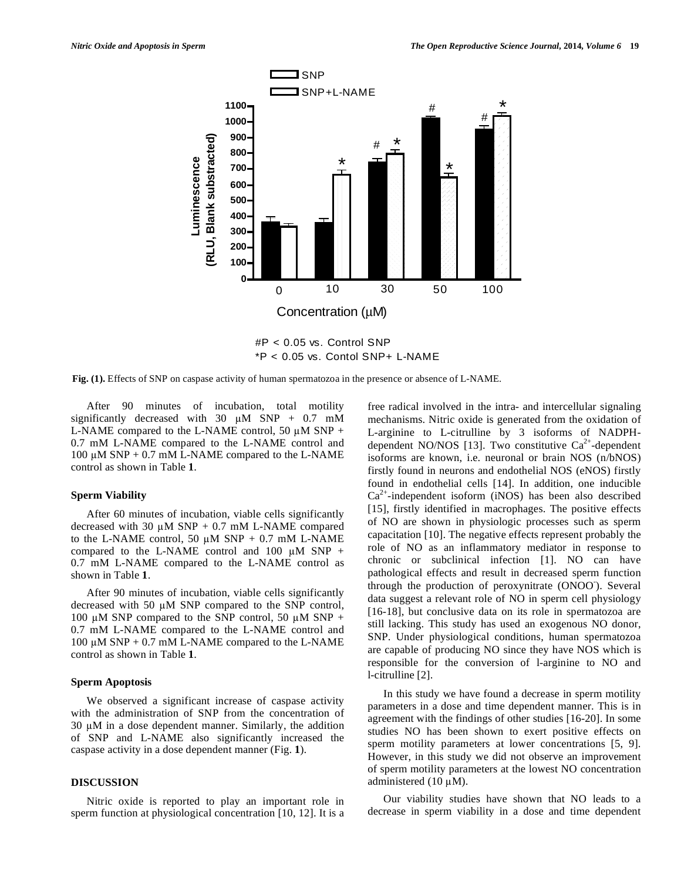

\*P < 0.05 vs. Contol SNP+ L-NAME

**Fig. (1).** Effects of SNP on caspase activity of human spermatozoa in the presence or absence of L-NAME.

After 90 minutes of incubation, total motility significantly decreased with 30  $\mu$ M SNP + 0.7 mM L-NAME compared to the L-NAME control, 50  $\mu$ M SNP + 0.7 mM L-NAME compared to the L-NAME control and 100  $\mu$ M SNP + 0.7 mM L-NAME compared to the L-NAME control as shown in Table **1**.

# **Sperm Viability**

After 60 minutes of incubation, viable cells significantly decreased with 30  $\mu$ M SNP + 0.7 mM L-NAME compared to the L-NAME control, 50  $\mu$ M SNP + 0.7 mM L-NAME compared to the L-NAME control and 100  $\mu$ M SNP + 0.7 mM L-NAME compared to the L-NAME control as shown in Table **1**.

After 90 minutes of incubation, viable cells significantly decreased with 50  $\mu$ M SNP compared to the SNP control, 100  $\mu$ M SNP compared to the SNP control, 50  $\mu$ M SNP + 0.7 mM L-NAME compared to the L-NAME control and 100  $\mu$ M SNP + 0.7 mM L-NAME compared to the L-NAME control as shown in Table **1**.

### **Sperm Apoptosis**

We observed a significant increase of caspase activity with the administration of SNP from the concentration of  $30 \mu$ M in a dose dependent manner. Similarly, the addition of SNP and L-NAME also significantly increased the caspase activity in a dose dependent manner (Fig. **1**).

## **DISCUSSION**

Nitric oxide is reported to play an important role in sperm function at physiological concentration [10, 12]. It is a free radical involved in the intra- and intercellular signaling mechanisms. Nitric oxide is generated from the oxidation of L-arginine to L-citrulline by 3 isoforms of NADPHdependent NO/NOS [13]. Two constitutive  $Ca^{2+}$ -dependent isoforms are known, i.e. neuronal or brain NOS (n/bNOS) firstly found in neurons and endothelial NOS (eNOS) firstly found in endothelial cells [14]. In addition, one inducible  $Ca<sup>2+</sup>$ -independent isoform (iNOS) has been also described [15], firstly identified in macrophages. The positive effects of NO are shown in physiologic processes such as sperm capacitation [10]. The negative effects represent probably the role of NO as an inflammatory mediator in response to chronic or subclinical infection [1]. NO can have pathological effects and result in decreased sperm function through the production of peroxynitrate (ONOO<sup>-</sup>). Several data suggest a relevant role of NO in sperm cell physiology [16-18], but conclusive data on its role in spermatozoa are still lacking. This study has used an exogenous NO donor, SNP. Under physiological conditions, human spermatozoa are capable of producing NO since they have NOS which is responsible for the conversion of l-arginine to NO and l-citrulline [2].

In this study we have found a decrease in sperm motility parameters in a dose and time dependent manner. This is in agreement with the findings of other studies [16-20]. In some studies NO has been shown to exert positive effects on sperm motility parameters at lower concentrations [5, 9]. However, in this study we did not observe an improvement of sperm motility parameters at the lowest NO concentration administered  $(10 \mu M)$ .

Our viability studies have shown that NO leads to a decrease in sperm viability in a dose and time dependent